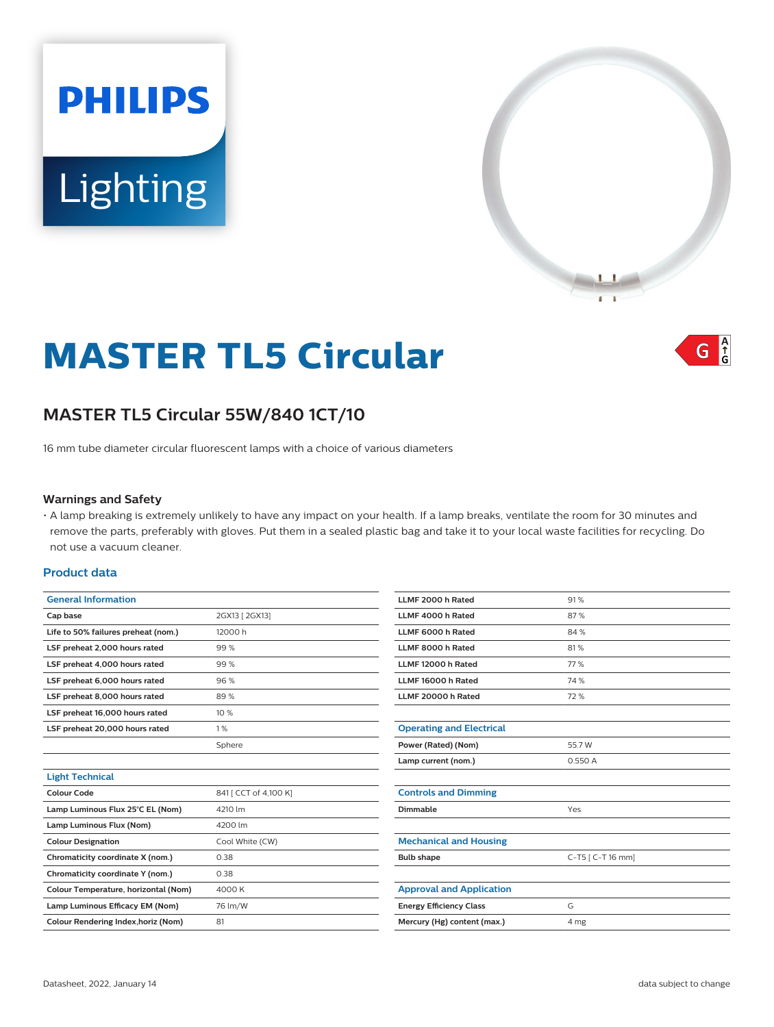# **PHILIPS** Lighting



## **MASTER TL5 Circular**

#### $A_f$ G

### **MASTER TL5 Circular 55W/840 1CT/10**

16 mm tube diameter circular fluorescent lamps with a choice of various diameters

#### **Warnings and Safety**

• A lamp breaking is extremely unlikely to have any impact on your health. If a lamp breaks, ventilate the room for 30 minutes and remove the parts, preferably with gloves. Put them in a sealed plastic bag and take it to your local waste facilities for recycling. Do not use a vacuum cleaner.

#### **Product data**

| <b>General Information</b>           |                       | LLMF 2000 h Rated               | 91%               |
|--------------------------------------|-----------------------|---------------------------------|-------------------|
| Cap base                             | 2GX13 [ 2GX13]        | LLMF 4000 h Rated               | 87%               |
| Life to 50% failures preheat (nom.)  | 12000 h               | LLMF 6000 h Rated               | 84%               |
| LSF preheat 2,000 hours rated        | 99%                   | LLMF 8000 h Rated               | 81%               |
| LSF preheat 4,000 hours rated        | 99%                   | LLMF 12000 h Rated              | 77 %              |
| LSF preheat 6,000 hours rated        | 96%                   | LLMF 16000 h Rated              | 74 %              |
| LSF preheat 8,000 hours rated        | 89%                   | LLMF 20000 h Rated              | 72 %              |
| LSF preheat 16,000 hours rated       | 10 %                  |                                 |                   |
| LSF preheat 20,000 hours rated       | 1%                    | <b>Operating and Electrical</b> |                   |
|                                      | Sphere                | Power (Rated) (Nom)             | 55.7 W            |
|                                      |                       | Lamp current (nom.)             | 0.550 A           |
| <b>Light Technical</b>               |                       |                                 |                   |
| <b>Colour Code</b>                   | 841 [ CCT of 4,100 K] | <b>Controls and Dimming</b>     |                   |
| Lamp Luminous Flux 25°C EL (Nom)     | 4210 lm               | Dimmable                        | Yes               |
| Lamp Luminous Flux (Nom)             | 4200 lm               |                                 |                   |
| <b>Colour Designation</b>            | Cool White (CW)       | <b>Mechanical and Housing</b>   |                   |
| Chromaticity coordinate X (nom.)     | 0.38                  | <b>Bulb shape</b>               | C-T5 [ C-T 16 mm] |
| Chromaticity coordinate Y (nom.)     | 0.38                  |                                 |                   |
| Colour Temperature, horizontal (Nom) | 4000 K                | <b>Approval and Application</b> |                   |
| Lamp Luminous Efficacy EM (Nom)      | 76 lm/W               | <b>Energy Efficiency Class</b>  | G                 |
| Colour Rendering Index, horiz (Nom)  | 81                    | Mercury (Hg) content (max.)     | 4 mg              |
|                                      |                       |                                 |                   |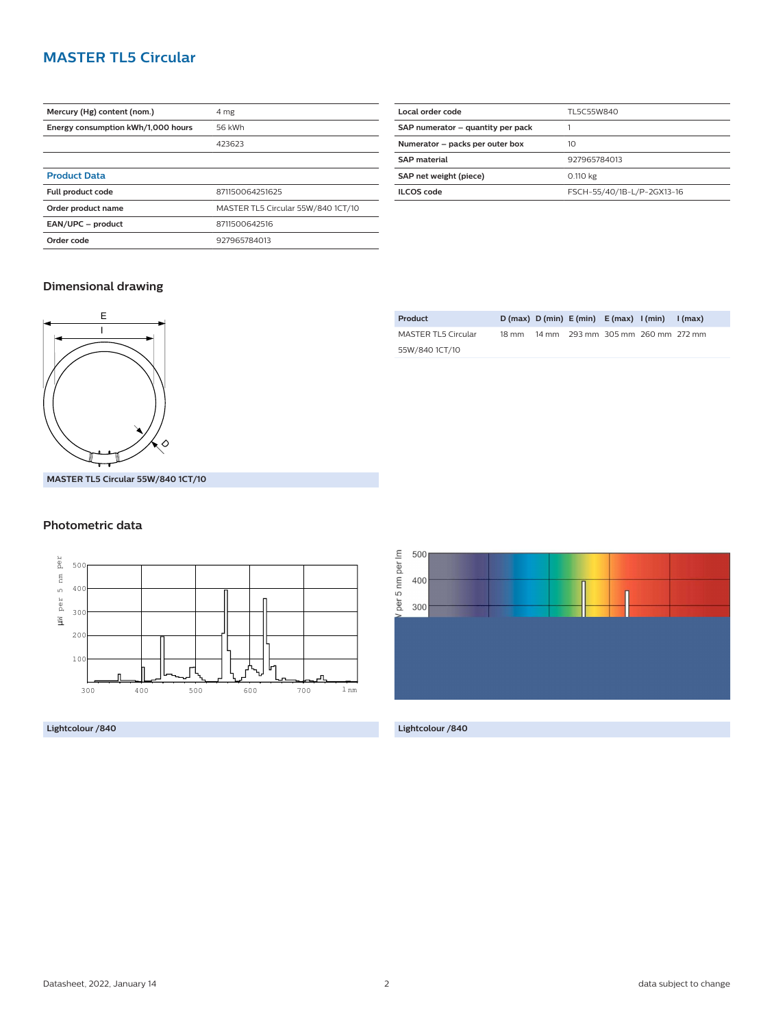#### **MASTER TL5 Circular**

| Mercury (Hg) content (nom.)        | 4 mg                               |
|------------------------------------|------------------------------------|
|                                    |                                    |
| Energy consumption kWh/1,000 hours | 56 kWh                             |
|                                    | 423623                             |
|                                    |                                    |
| <b>Product Data</b>                |                                    |
| Full product code                  | 871150064251625                    |
| Order product name                 | MASTER TL5 Circular 55W/840 1CT/10 |
| EAN/UPC - product                  | 8711500642516                      |
| Order code                         | 927965784013                       |
|                                    |                                    |

| Local order code                  | TL5C55W840                 |
|-----------------------------------|----------------------------|
| SAP numerator - quantity per pack |                            |
| Numerator - packs per outer box   | 10                         |
| <b>SAP material</b>               | 927965784013               |
| SAP net weight (piece)            | 0.110 kg                   |
| <b>ILCOS</b> code                 | FSCH-55/40/1B-L/P-2GX13-16 |
|                                   |                            |

#### **Dimensional drawing**



**Product D (max) D (min) E (min) E (max) I (min) I (max)** MASTER TL5 Circular 55W/840 1CT/10 18 mm 14 mm 293 mm 305 mm 260 mm 272 mm

**MASTER TL5 Circular 55W/840 1CT/10**

#### **Photometric data**